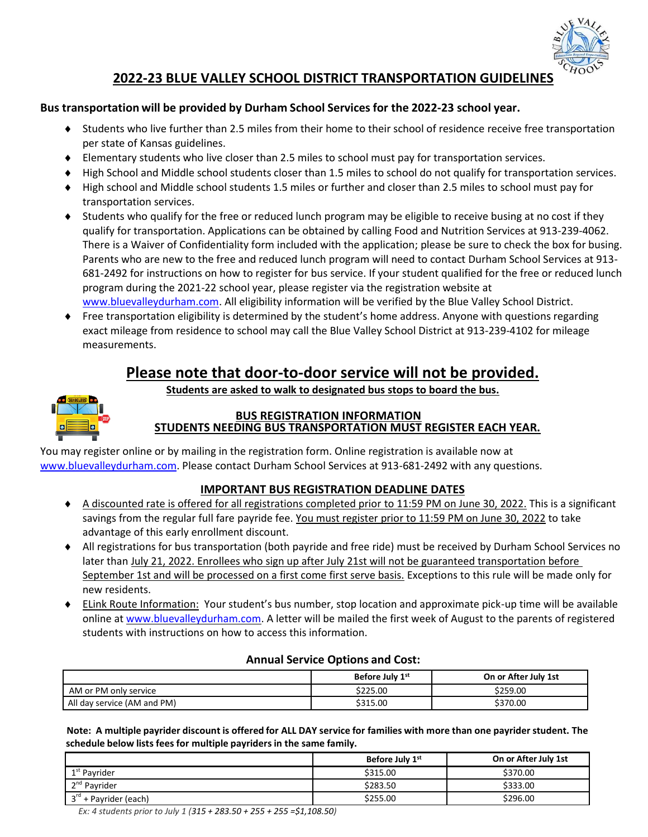

## **2022-23 BLUE VALLEY SCHOOL DISTRICT TRANSPORTATION GUIDELINES**

### **Bus transportation will be provided by Durham School Services for the 2022-23 school year.**

- Students who live further than 2.5 miles from their home to their school of residence receive free transportation per state of Kansas guidelines.
- Elementary students who live closer than 2.5 miles to school must pay for transportation services.
- ♦ High School and Middle school students closer than 1.5 miles to school do not qualify for transportation services.
- High school and Middle school students 1.5 miles or further and closer than 2.5 miles to school must pay for transportation services.
- Students who qualify for the free or reduced lunch program may be eligible to receive busing at no cost if they qualify for transportation. Applications can be obtained by calling Food and Nutrition Services at 913-239-4062. There is a Waiver of Confidentiality form included with the application; please be sure to check the box for busing. Parents who are new to the free and reduced lunch program will need to contact Durham School Services at 913- 681-2492 for instructions on how to register for bus service. If your student qualified for the free or reduced lunch program during the 2021-22 school year, please register via the registration website at [www.bluevalleydurham.com.](http://www.bluevalleydurham.com/) All eligibility information will be verified by the Blue Valley School District.
- Free transportation eligibility is determined by the student's home address. Anyone with questions regarding exact mileage from residence to school may call the Blue Valley School District at 913-239-4102 for mileage measurements.

# **Please note that door-to-door service will not be provided.**

**Students are asked to walk to designated bus stops to board the bus.**



### **BUS REGISTRATION INFORMATION STUDENTS NEEDING BUS TRANSPORTATION MUST REGISTER EACH YEAR.**

You may register online or by mailing in the registration form. Online registration is available now at [www.bluevalleydurham.com.](http://www.bluevalleydurham.com/) Please contact Durham School Services at 913-681-2492 with any questions.

### **IMPORTANT BUS REGISTRATION DEADLINE DATES**

- A discounted rate is offered for all registrations completed prior to 11:59 PM on June 30, 2022. This is a significant savings from the regular full fare payride fee. You must register prior to 11:59 PM on June 30, 2022 to take advantage of this early enrollment discount.
- All registrations for bus transportation (both payride and free ride) must be received by Durham School Services no later than July 21, 2022. Enrollees who sign up after July 21st will not be guaranteed transportation before September 1st and will be processed on a first come first serve basis. Exceptions to this rule will be made only for new residents.
- ELink Route Information: Your student's bus number, stop location and approximate pick-up time will be available online at [www.bluevalleydurham.com.](http://www.bluevalleydurham.com/) A letter will be mailed the first week of August to the parents of registered students with instructions on how to access this information.

| <b>Annual Service Options and Cost:</b> |  |  |  |  |
|-----------------------------------------|--|--|--|--|
|-----------------------------------------|--|--|--|--|

|                             | Before July 1 <sup>st</sup> | On or After July 1st |
|-----------------------------|-----------------------------|----------------------|
| AM or PM only service       | \$225.00                    | \$259.00             |
| All day service (AM and PM) | \$315.00                    | \$370.00             |

Note: A multiple payrider discount is offered for ALL DAY service for families with more than one payrider student. The **schedule below lists fees for multiple payridersin the same family.**

|                            | Before July 1st | On or After July 1st |
|----------------------------|-----------------|----------------------|
| 1 <sup>st</sup> Payrider   | \$315.00        | \$370.00             |
| 2 <sup>nd</sup> Payrider   | \$283.50        | \$333.00             |
| $3^{rd}$ + Payrider (each) | \$255.00        | \$296.00             |

*Ex: 4 students prior to July 1 (315 + 283.50 + 255 + 255 =\$1,108.50)*